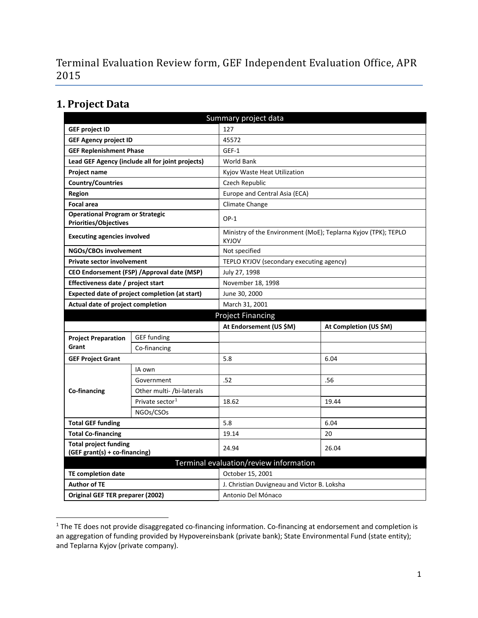Terminal Evaluation Review form, GEF Independent Evaluation Office, APR 2015

## **1. Project Data**

 $\overline{\phantom{a}}$ 

| Summary project data                                                    |                                                  |                                                                                |                        |  |  |
|-------------------------------------------------------------------------|--------------------------------------------------|--------------------------------------------------------------------------------|------------------------|--|--|
| <b>GEF project ID</b>                                                   |                                                  | 127                                                                            |                        |  |  |
| <b>GEF Agency project ID</b>                                            |                                                  | 45572                                                                          |                        |  |  |
| <b>GEF Replenishment Phase</b>                                          |                                                  | GEF-1                                                                          |                        |  |  |
|                                                                         | Lead GEF Agency (include all for joint projects) | <b>World Bank</b>                                                              |                        |  |  |
| <b>Project name</b>                                                     |                                                  | Kyjov Waste Heat Utilization                                                   |                        |  |  |
| <b>Country/Countries</b>                                                |                                                  | Czech Republic                                                                 |                        |  |  |
| Region                                                                  |                                                  | Europe and Central Asia (ECA)                                                  |                        |  |  |
| <b>Focal area</b>                                                       |                                                  | Climate Change                                                                 |                        |  |  |
| <b>Operational Program or Strategic</b><br><b>Priorities/Objectives</b> |                                                  | $OP-1$                                                                         |                        |  |  |
| <b>Executing agencies involved</b>                                      |                                                  | Ministry of the Environment (MoE); Teplarna Kyjov (TPK); TEPLO<br><b>KYJOV</b> |                        |  |  |
| NGOs/CBOs involvement                                                   |                                                  | Not specified                                                                  |                        |  |  |
| <b>Private sector involvement</b>                                       |                                                  | TEPLO KYJOV (secondary executing agency)                                       |                        |  |  |
| CEO Endorsement (FSP) / Approval date (MSP)                             |                                                  | July 27, 1998                                                                  |                        |  |  |
| Effectiveness date / project start                                      |                                                  | November 18, 1998                                                              |                        |  |  |
|                                                                         | Expected date of project completion (at start)   | June 30, 2000                                                                  |                        |  |  |
| Actual date of project completion                                       |                                                  | March 31, 2001                                                                 |                        |  |  |
| <b>Project Financing</b>                                                |                                                  |                                                                                |                        |  |  |
|                                                                         |                                                  | At Endorsement (US \$M)                                                        | At Completion (US \$M) |  |  |
| <b>Project Preparation</b>                                              | <b>GEF</b> funding                               |                                                                                |                        |  |  |
| Grant                                                                   | Co-financing                                     |                                                                                |                        |  |  |
| <b>GEF Project Grant</b>                                                |                                                  | 5.8                                                                            | 6.04                   |  |  |
|                                                                         | IA own                                           |                                                                                |                        |  |  |
|                                                                         | Government                                       | .52                                                                            | .56                    |  |  |
| Co-financing                                                            | Other multi- /bi-laterals                        |                                                                                |                        |  |  |
|                                                                         | Private sector <sup>1</sup>                      | 18.62                                                                          | 19.44                  |  |  |
|                                                                         | NGOs/CSOs                                        |                                                                                |                        |  |  |
| <b>Total GEF funding</b>                                                |                                                  | 5.8                                                                            | 6.04                   |  |  |
| <b>Total Co-financing</b>                                               |                                                  | 19.14                                                                          | 20                     |  |  |
| <b>Total project funding</b><br>(GEF grant(s) + co-financing)           |                                                  | 24.94                                                                          | 26.04                  |  |  |
| Terminal evaluation/review information                                  |                                                  |                                                                                |                        |  |  |
| <b>TE completion date</b>                                               |                                                  | October 15, 2001                                                               |                        |  |  |
| <b>Author of TE</b>                                                     |                                                  | J. Christian Duvigneau and Victor B. Loksha                                    |                        |  |  |
| Original GEF TER preparer (2002)                                        |                                                  | Antonio Del Mónaco                                                             |                        |  |  |

<span id="page-0-0"></span><sup>&</sup>lt;sup>1</sup> The TE does not provide disaggregated co-financing information. Co-financing at endorsement and completion is an aggregation of funding provided by Hypovereinsbank (private bank); State Environmental Fund (state entity); and Teplarna Kyjov (private company).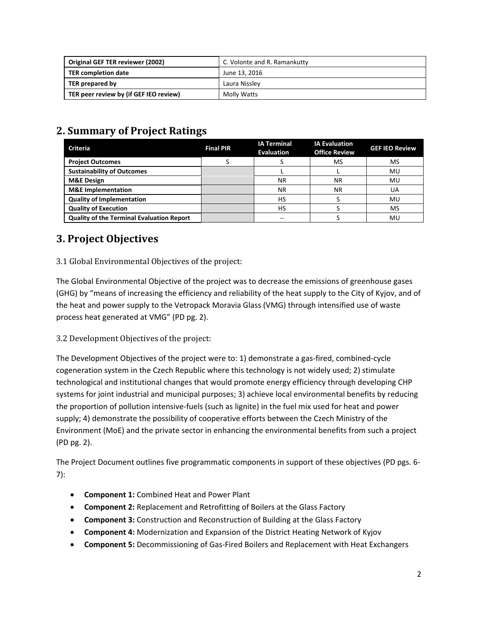| <b>Original GEF TER reviewer (2002)</b> | C. Volonte and R. Ramankutty |
|-----------------------------------------|------------------------------|
| TER completion date                     | June 13. 2016                |
| TER prepared by                         | Laura Nissley                |
| TER peer review by (if GEF IEO review)  | Molly Watts                  |

# **2. Summary of Project Ratings**

| <b>Criteria</b>                                  | <b>Final PIR</b> | <b>IA Terminal</b><br><b>Evaluation</b> | <b>IA Evaluation</b><br><b>Office Review</b> | <b>GEF IEO Review</b> |
|--------------------------------------------------|------------------|-----------------------------------------|----------------------------------------------|-----------------------|
| <b>Project Outcomes</b>                          |                  |                                         | MS                                           | MS                    |
| <b>Sustainability of Outcomes</b>                |                  |                                         |                                              | MU                    |
| <b>M&amp;E Design</b>                            |                  | <b>NR</b>                               | ΝR                                           | MU                    |
| <b>M&amp;E</b> Implementation                    |                  | <b>NR</b>                               | <b>NR</b>                                    | UA                    |
| <b>Quality of Implementation</b>                 |                  | HS                                      |                                              | MU                    |
| <b>Quality of Execution</b>                      |                  | HS                                      |                                              | <b>MS</b>             |
| <b>Quality of the Terminal Evaluation Report</b> |                  | --                                      |                                              | MU                    |

# **3. Project Objectives**

3.1 Global Environmental Objectives of the project:

The Global Environmental Objective of the project was to decrease the emissions of greenhouse gases (GHG) by "means of increasing the efficiency and reliability of the heat supply to the City of Kyjov, and of the heat and power supply to the Vetropack Moravia Glass (VMG) through intensified use of waste process heat generated at VMG" (PD pg. 2).

3.2 Development Objectives of the project:

The Development Objectives of the project were to: 1) demonstrate a gas-fired, combined-cycle cogeneration system in the Czech Republic where this technology is not widely used; 2) stimulate technological and institutional changes that would promote energy efficiency through developing CHP systems for joint industrial and municipal purposes; 3) achieve local environmental benefits by reducing the proportion of pollution intensive-fuels (such as lignite) in the fuel mix used for heat and power supply; 4) demonstrate the possibility of cooperative efforts between the Czech Ministry of the Environment (MoE) and the private sector in enhancing the environmental benefits from such a project (PD pg. 2).

The Project Document outlines five programmatic components in support of these objectives (PD pgs. 6- 7):

- **Component 1:** Combined Heat and Power Plant
- **Component 2:** Replacement and Retrofitting of Boilers at the Glass Factory
- **Component 3:** Construction and Reconstruction of Building at the Glass Factory
- **Component 4:** Modernization and Expansion of the District Heating Network of Kyjov
- **Component 5:** Decommissioning of Gas-Fired Boilers and Replacement with Heat Exchangers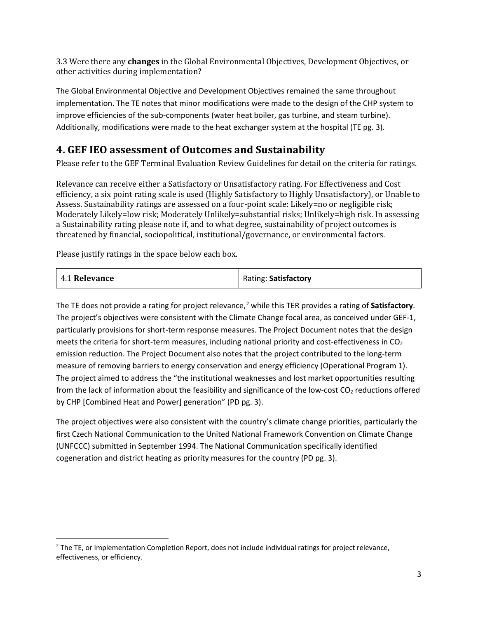3.3 Were there any **changes** in the Global Environmental Objectives, Development Objectives, or other activities during implementation?

The Global Environmental Objective and Development Objectives remained the same throughout implementation. The TE notes that minor modifications were made to the design of the CHP system to improve efficiencies of the sub-components (water heat boiler, gas turbine, and steam turbine). Additionally, modifications were made to the heat exchanger system at the hospital (TE pg. 3).

## **4. GEF IEO assessment of Outcomes and Sustainability**

Please refer to the GEF Terminal Evaluation Review Guidelines for detail on the criteria for ratings.

Relevance can receive either a Satisfactory or Unsatisfactory rating. For Effectiveness and Cost efficiency, a six point rating scale is used (Highly Satisfactory to Highly Unsatisfactory), or Unable to Assess. Sustainability ratings are assessed on a four-point scale: Likely=no or negligible risk; Moderately Likely=low risk; Moderately Unlikely=substantial risks; Unlikely=high risk. In assessing a Sustainability rating please note if, and to what degree, sustainability of project outcomes is threatened by financial, sociopolitical, institutional/governance, or environmental factors.

Please justify ratings in the space below each box.

 $\overline{a}$ 

| 4.1 Relevance | Rating: Satisfactory |
|---------------|----------------------|
|---------------|----------------------|

The TE does not provide a rating for project relevance,<sup>[2](#page-2-0)</sup> while this TER provides a rating of **Satisfactory**. The project's objectives were consistent with the Climate Change focal area, as conceived under GEF-1, particularly provisions for short-term response measures. The Project Document notes that the design meets the criteria for short-term measures, including national priority and cost-effectiveness in  $CO<sub>2</sub>$ emission reduction. The Project Document also notes that the project contributed to the long-term measure of removing barriers to energy conservation and energy efficiency (Operational Program 1). The project aimed to address the "the institutional weaknesses and lost market opportunities resulting from the lack of information about the feasibility and significance of the low-cost  $CO<sub>2</sub>$  reductions offered by CHP [Combined Heat and Power] generation" (PD pg. 3).

The project objectives were also consistent with the country's climate change priorities, particularly the first Czech National Communication to the United National Framework Convention on Climate Change (UNFCCC) submitted in September 1994. The National Communication specifically identified cogeneration and district heating as priority measures for the country (PD pg. 3).

<span id="page-2-0"></span> $<sup>2</sup>$  The TE, or Implementation Completion Report, does not include individual ratings for project relevance,</sup> effectiveness, or efficiency.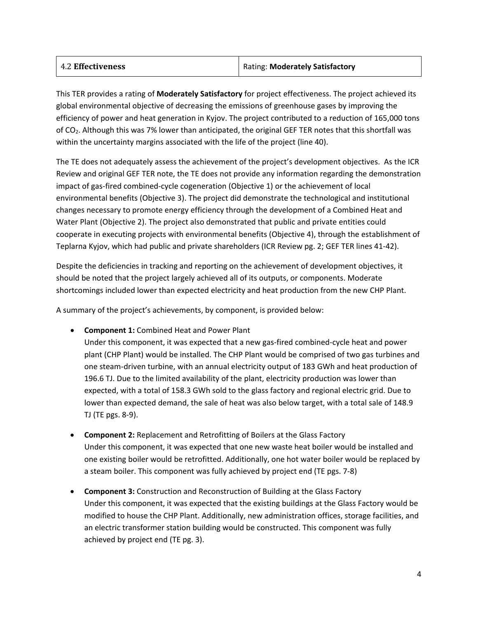| 4.2 Effectiveness | Rating: Moderately Satisfactory |
|-------------------|---------------------------------|
|                   |                                 |

This TER provides a rating of **Moderately Satisfactory** for project effectiveness. The project achieved its global environmental objective of decreasing the emissions of greenhouse gases by improving the efficiency of power and heat generation in Kyjov. The project contributed to a reduction of 165,000 tons of CO2. Although this was 7% lower than anticipated, the original GEF TER notes that this shortfall was within the uncertainty margins associated with the life of the project (line 40).

The TE does not adequately assess the achievement of the project's development objectives. As the ICR Review and original GEF TER note, the TE does not provide any information regarding the demonstration impact of gas-fired combined-cycle cogeneration (Objective 1) or the achievement of local environmental benefits (Objective 3). The project did demonstrate the technological and institutional changes necessary to promote energy efficiency through the development of a Combined Heat and Water Plant (Objective 2). The project also demonstrated that public and private entities could cooperate in executing projects with environmental benefits (Objective 4), through the establishment of Teplarna Kyjov, which had public and private shareholders (ICR Review pg. 2; GEF TER lines 41-42).

Despite the deficiencies in tracking and reporting on the achievement of development objectives, it should be noted that the project largely achieved all of its outputs, or components. Moderate shortcomings included lower than expected electricity and heat production from the new CHP Plant.

A summary of the project's achievements, by component, is provided below:

• **Component 1:** Combined Heat and Power Plant

Under this component, it was expected that a new gas-fired combined-cycle heat and power plant (CHP Plant) would be installed. The CHP Plant would be comprised of two gas turbines and one steam-driven turbine, with an annual electricity output of 183 GWh and heat production of 196.6 TJ. Due to the limited availability of the plant, electricity production was lower than expected, with a total of 158.3 GWh sold to the glass factory and regional electric grid. Due to lower than expected demand, the sale of heat was also below target, with a total sale of 148.9 TJ (TE pgs. 8-9).

- **Component 2:** Replacement and Retrofitting of Boilers at the Glass Factory Under this component, it was expected that one new waste heat boiler would be installed and one existing boiler would be retrofitted. Additionally, one hot water boiler would be replaced by a steam boiler. This component was fully achieved by project end (TE pgs. 7-8)
- **Component 3:** Construction and Reconstruction of Building at the Glass Factory Under this component, it was expected that the existing buildings at the Glass Factory would be modified to house the CHP Plant. Additionally, new administration offices, storage facilities, and an electric transformer station building would be constructed. This component was fully achieved by project end (TE pg. 3).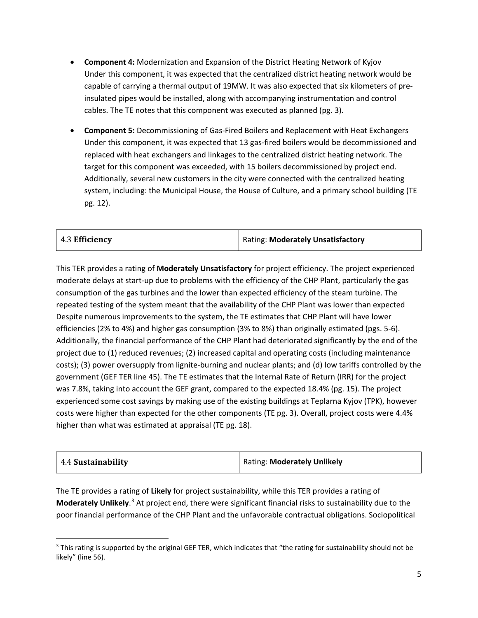- **Component 4:** Modernization and Expansion of the District Heating Network of Kyjov Under this component, it was expected that the centralized district heating network would be capable of carrying a thermal output of 19MW. It was also expected that six kilometers of preinsulated pipes would be installed, along with accompanying instrumentation and control cables. The TE notes that this component was executed as planned (pg. 3).
- **Component 5:** Decommissioning of Gas-Fired Boilers and Replacement with Heat Exchangers Under this component, it was expected that 13 gas-fired boilers would be decommissioned and replaced with heat exchangers and linkages to the centralized district heating network. The target for this component was exceeded, with 15 boilers decommissioned by project end. Additionally, several new customers in the city were connected with the centralized heating system, including: the Municipal House, the House of Culture, and a primary school building (TE pg. 12).

| $\vert$ 4.3 Efficiency | <b>Rating: Moderately Unsatisfactory</b> |
|------------------------|------------------------------------------|
|------------------------|------------------------------------------|

This TER provides a rating of **Moderately Unsatisfactory** for project efficiency. The project experienced moderate delays at start-up due to problems with the efficiency of the CHP Plant, particularly the gas consumption of the gas turbines and the lower than expected efficiency of the steam turbine. The repeated testing of the system meant that the availability of the CHP Plant was lower than expected Despite numerous improvements to the system, the TE estimates that CHP Plant will have lower efficiencies (2% to 4%) and higher gas consumption (3% to 8%) than originally estimated (pgs. 5-6). Additionally, the financial performance of the CHP Plant had deteriorated significantly by the end of the project due to (1) reduced revenues; (2) increased capital and operating costs (including maintenance costs); (3) power oversupply from lignite-burning and nuclear plants; and (d) low tariffs controlled by the government (GEF TER line 45). The TE estimates that the Internal Rate of Return (IRR) for the project was 7.8%, taking into account the GEF grant, compared to the expected 18.4% (pg. 15). The project experienced some cost savings by making use of the existing buildings at Teplarna Kyjov (TPK), however costs were higher than expected for the other components (TE pg. 3). Overall, project costs were 4.4% higher than what was estimated at appraisal (TE pg. 18).

| 4.4 Sustainability | <b>Rating: Moderately Unlikely</b> |
|--------------------|------------------------------------|
|--------------------|------------------------------------|

The TE provides a rating of **Likely** for project sustainability, while this TER provides a rating of **Moderately Unlikely**. [3](#page-4-0) At project end, there were significant financial risks to sustainability due to the poor financial performance of the CHP Plant and the unfavorable contractual obligations. Sociopolitical

 $\overline{a}$ 

<span id="page-4-0"></span><sup>&</sup>lt;sup>3</sup> This rating is supported by the original GEF TER, which indicates that "the rating for sustainability should not be likely" (line 56).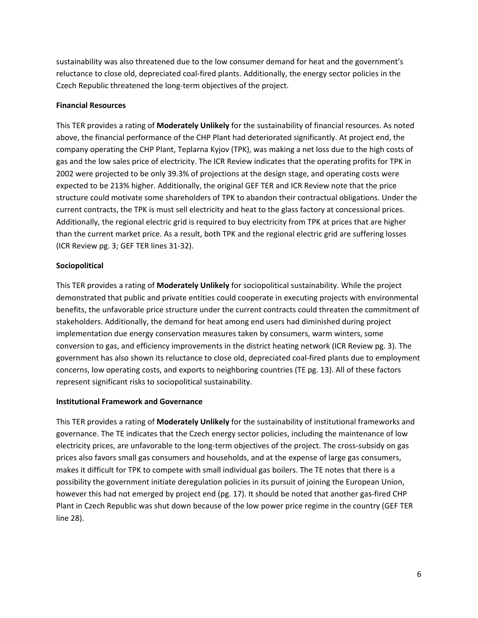sustainability was also threatened due to the low consumer demand for heat and the government's reluctance to close old, depreciated coal-fired plants. Additionally, the energy sector policies in the Czech Republic threatened the long-term objectives of the project.

#### **Financial Resources**

This TER provides a rating of **Moderately Unlikely** for the sustainability of financial resources. As noted above, the financial performance of the CHP Plant had deteriorated significantly. At project end, the company operating the CHP Plant, Teplarna Kyjov (TPK), was making a net loss due to the high costs of gas and the low sales price of electricity. The ICR Review indicates that the operating profits for TPK in 2002 were projected to be only 39.3% of projections at the design stage, and operating costs were expected to be 213% higher. Additionally, the original GEF TER and ICR Review note that the price structure could motivate some shareholders of TPK to abandon their contractual obligations. Under the current contracts, the TPK is must sell electricity and heat to the glass factory at concessional prices. Additionally, the regional electric grid is required to buy electricity from TPK at prices that are higher than the current market price. As a result, both TPK and the regional electric grid are suffering losses (ICR Review pg. 3; GEF TER lines 31-32).

#### **Sociopolitical**

This TER provides a rating of **Moderately Unlikely** for sociopolitical sustainability. While the project demonstrated that public and private entities could cooperate in executing projects with environmental benefits, the unfavorable price structure under the current contracts could threaten the commitment of stakeholders. Additionally, the demand for heat among end users had diminished during project implementation due energy conservation measures taken by consumers, warm winters, some conversion to gas, and efficiency improvements in the district heating network (ICR Review pg. 3). The government has also shown its reluctance to close old, depreciated coal-fired plants due to employment concerns, low operating costs, and exports to neighboring countries (TE pg. 13). All of these factors represent significant risks to sociopolitical sustainability.

#### **Institutional Framework and Governance**

This TER provides a rating of **Moderately Unlikely** for the sustainability of institutional frameworks and governance. The TE indicates that the Czech energy sector policies, including the maintenance of low electricity prices, are unfavorable to the long-term objectives of the project. The cross-subsidy on gas prices also favors small gas consumers and households, and at the expense of large gas consumers, makes it difficult for TPK to compete with small individual gas boilers. The TE notes that there is a possibility the government initiate deregulation policies in its pursuit of joining the European Union, however this had not emerged by project end (pg. 17). It should be noted that another gas-fired CHP Plant in Czech Republic was shut down because of the low power price regime in the country (GEF TER line 28).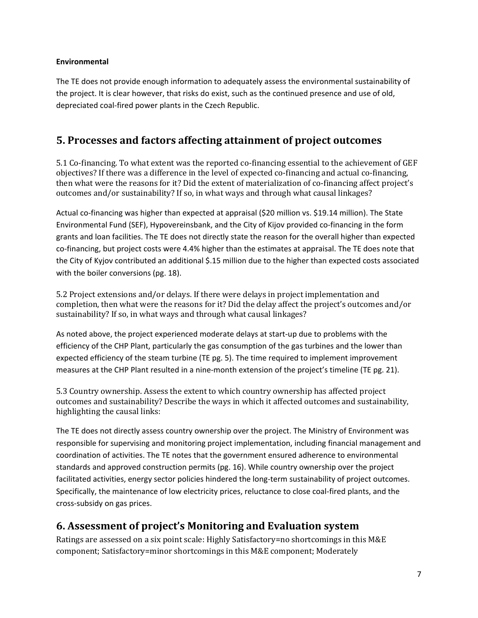### **Environmental**

The TE does not provide enough information to adequately assess the environmental sustainability of the project. It is clear however, that risks do exist, such as the continued presence and use of old, depreciated coal-fired power plants in the Czech Republic.

## **5. Processes and factors affecting attainment of project outcomes**

5.1 Co-financing. To what extent was the reported co-financing essential to the achievement of GEF objectives? If there was a difference in the level of expected co-financing and actual co-financing, then what were the reasons for it? Did the extent of materialization of co-financing affect project's outcomes and/or sustainability? If so, in what ways and through what causal linkages?

Actual co-financing was higher than expected at appraisal (\$20 million vs. \$19.14 million). The State Environmental Fund (SEF), Hypovereinsbank, and the City of Kijov provided co-financing in the form grants and loan facilities. The TE does not directly state the reason for the overall higher than expected co-financing, but project costs were 4.4% higher than the estimates at appraisal. The TE does note that the City of Kyjov contributed an additional \$.15 million due to the higher than expected costs associated with the boiler conversions (pg. 18).

5.2 Project extensions and/or delays. If there were delays in project implementation and completion, then what were the reasons for it? Did the delay affect the project's outcomes and/or sustainability? If so, in what ways and through what causal linkages?

As noted above, the project experienced moderate delays at start-up due to problems with the efficiency of the CHP Plant, particularly the gas consumption of the gas turbines and the lower than expected efficiency of the steam turbine (TE pg. 5). The time required to implement improvement measures at the CHP Plant resulted in a nine-month extension of the project's timeline (TE pg. 21).

5.3 Country ownership. Assess the extent to which country ownership has affected project outcomes and sustainability? Describe the ways in which it affected outcomes and sustainability, highlighting the causal links:

The TE does not directly assess country ownership over the project. The Ministry of Environment was responsible for supervising and monitoring project implementation, including financial management and coordination of activities. The TE notes that the government ensured adherence to environmental standards and approved construction permits (pg. 16). While country ownership over the project facilitated activities, energy sector policies hindered the long-term sustainability of project outcomes. Specifically, the maintenance of low electricity prices, reluctance to close coal-fired plants, and the cross-subsidy on gas prices.

## **6. Assessment of project's Monitoring and Evaluation system**

Ratings are assessed on a six point scale: Highly Satisfactory=no shortcomings in this M&E component; Satisfactory=minor shortcomings in this M&E component; Moderately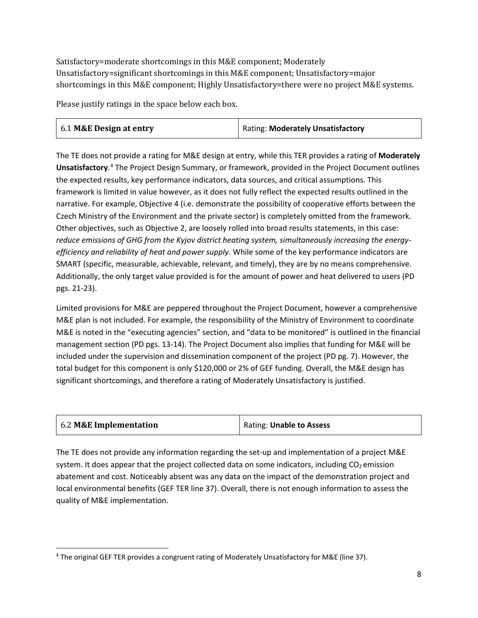Satisfactory=moderate shortcomings in this M&E component; Moderately Unsatisfactory=significant shortcomings in this M&E component; Unsatisfactory=major shortcomings in this M&E component; Highly Unsatisfactory=there were no project M&E systems.

Please justify ratings in the space below each box.

| $\vert$ 6.1 M&E Design at entry | <b>Rating: Moderately Unsatisfactory</b> |
|---------------------------------|------------------------------------------|
|---------------------------------|------------------------------------------|

The TE does not provide a rating for M&E design at entry, while this TER provides a rating of **Moderately Unsatisfactory**. [4](#page-7-0) The Project Design Summary, or framework, provided in the Project Document outlines the expected results, key performance indicators, data sources, and critical assumptions. This framework is limited in value however, as it does not fully reflect the expected results outlined in the narrative. For example, Objective 4 (i.e. demonstrate the possibility of cooperative efforts between the Czech Ministry of the Environment and the private sector) is completely omitted from the framework. Other objectives, such as Objective 2, are loosely rolled into broad results statements, in this case: *reduce emissions of GHG from the Kyjov district heating system, simultaneously increasing the energyefficiency and reliability of heat and power supply*. While some of the key performance indicators are SMART (specific, measurable, achievable, relevant, and timely), they are by no means comprehensive. Additionally, the only target value provided is for the amount of power and heat delivered to users (PD pgs. 21-23).

Limited provisions for M&E are peppered throughout the Project Document, however a comprehensive M&E plan is not included. For example, the responsibility of the Ministry of Environment to coordinate M&E is noted in the "executing agencies" section, and "data to be monitored" is outlined in the financial management section (PD pgs. 13-14). The Project Document also implies that funding for M&E will be included under the supervision and dissemination component of the project (PD pg. 7). However, the total budget for this component is only \$120,000 or 2% of GEF funding. Overall, the M&E design has significant shortcomings, and therefore a rating of Moderately Unsatisfactory is justified.

| 6.2 M&E Implementation | Rating: Unable to Assess |
|------------------------|--------------------------|
|                        |                          |

The TE does not provide any information regarding the set-up and implementation of a project M&E system. It does appear that the project collected data on some indicators, including  $CO<sub>2</sub>$  emission abatement and cost. Noticeably absent was any data on the impact of the demonstration project and local environmental benefits (GEF TER line 37). Overall, there is not enough information to assess the quality of M&E implementation.

<span id="page-7-0"></span> $\overline{\phantom{a}}$ <sup>4</sup> The original GEF TER provides a congruent rating of Moderately Unsatisfactory for M&E (line 37).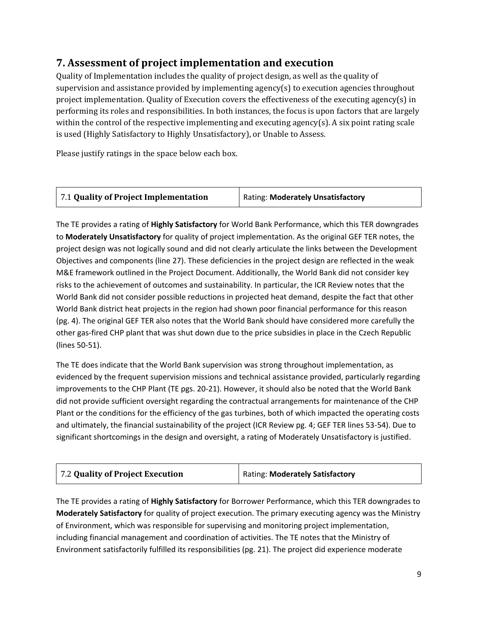## **7. Assessment of project implementation and execution**

Quality of Implementation includes the quality of project design, as well as the quality of supervision and assistance provided by implementing agency(s) to execution agencies throughout project implementation. Quality of Execution covers the effectiveness of the executing agency(s) in performing its roles and responsibilities. In both instances, the focus is upon factors that are largely within the control of the respective implementing and executing agency(s). A six point rating scale is used (Highly Satisfactory to Highly Unsatisfactory), or Unable to Assess.

Please justify ratings in the space below each box.

The TE provides a rating of **Highly Satisfactory** for World Bank Performance, which this TER downgrades to **Moderately Unsatisfactory** for quality of project implementation. As the original GEF TER notes, the project design was not logically sound and did not clearly articulate the links between the Development Objectives and components (line 27). These deficiencies in the project design are reflected in the weak M&E framework outlined in the Project Document. Additionally, the World Bank did not consider key risks to the achievement of outcomes and sustainability. In particular, the ICR Review notes that the World Bank did not consider possible reductions in projected heat demand, despite the fact that other World Bank district heat projects in the region had shown poor financial performance for this reason (pg. 4). The original GEF TER also notes that the World Bank should have considered more carefully the other gas-fired CHP plant that was shut down due to the price subsidies in place in the Czech Republic (lines 50-51).

The TE does indicate that the World Bank supervision was strong throughout implementation, as evidenced by the frequent supervision missions and technical assistance provided, particularly regarding improvements to the CHP Plant (TE pgs. 20-21). However, it should also be noted that the World Bank did not provide sufficient oversight regarding the contractual arrangements for maintenance of the CHP Plant or the conditions for the efficiency of the gas turbines, both of which impacted the operating costs and ultimately, the financial sustainability of the project (ICR Review pg. 4; GEF TER lines 53-54). Due to significant shortcomings in the design and oversight, a rating of Moderately Unsatisfactory is justified.

| 7.2 Quality of Project Execution | Rating: Moderately Satisfactory |
|----------------------------------|---------------------------------|
|----------------------------------|---------------------------------|

The TE provides a rating of **Highly Satisfactory** for Borrower Performance, which this TER downgrades to **Moderately Satisfactory** for quality of project execution. The primary executing agency was the Ministry of Environment, which was responsible for supervising and monitoring project implementation, including financial management and coordination of activities. The TE notes that the Ministry of Environment satisfactorily fulfilled its responsibilities (pg. 21). The project did experience moderate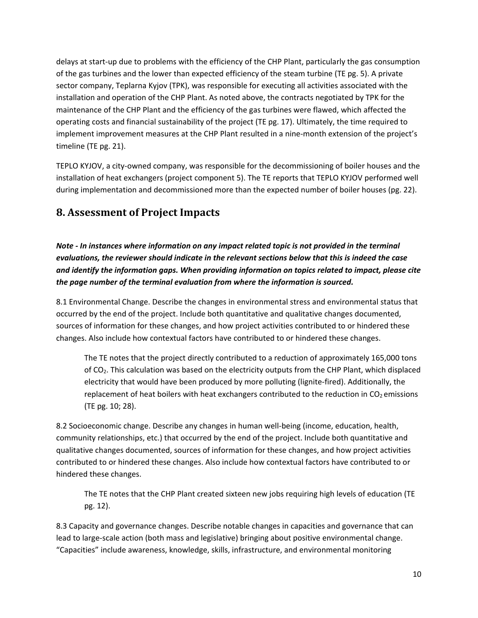delays at start-up due to problems with the efficiency of the CHP Plant, particularly the gas consumption of the gas turbines and the lower than expected efficiency of the steam turbine (TE pg. 5). A private sector company, Teplarna Kyjov (TPK), was responsible for executing all activities associated with the installation and operation of the CHP Plant. As noted above, the contracts negotiated by TPK for the maintenance of the CHP Plant and the efficiency of the gas turbines were flawed, which affected the operating costs and financial sustainability of the project (TE pg. 17). Ultimately, the time required to implement improvement measures at the CHP Plant resulted in a nine-month extension of the project's timeline (TE pg. 21).

TEPLO KYJOV, a city-owned company, was responsible for the decommissioning of boiler houses and the installation of heat exchangers (project component 5). The TE reports that TEPLO KYJOV performed well during implementation and decommissioned more than the expected number of boiler houses (pg. 22).

## **8. Assessment of Project Impacts**

*Note - In instances where information on any impact related topic is not provided in the terminal evaluations, the reviewer should indicate in the relevant sections below that this is indeed the case and identify the information gaps. When providing information on topics related to impact, please cite the page number of the terminal evaluation from where the information is sourced.* 

8.1 Environmental Change. Describe the changes in environmental stress and environmental status that occurred by the end of the project. Include both quantitative and qualitative changes documented, sources of information for these changes, and how project activities contributed to or hindered these changes. Also include how contextual factors have contributed to or hindered these changes.

The TE notes that the project directly contributed to a reduction of approximately 165,000 tons of CO2. This calculation was based on the electricity outputs from the CHP Plant, which displaced electricity that would have been produced by more polluting (lignite-fired). Additionally, the replacement of heat boilers with heat exchangers contributed to the reduction in  $CO<sub>2</sub>$  emissions (TE pg. 10; 28).

8.2 Socioeconomic change. Describe any changes in human well-being (income, education, health, community relationships, etc.) that occurred by the end of the project. Include both quantitative and qualitative changes documented, sources of information for these changes, and how project activities contributed to or hindered these changes. Also include how contextual factors have contributed to or hindered these changes.

The TE notes that the CHP Plant created sixteen new jobs requiring high levels of education (TE pg. 12).

8.3 Capacity and governance changes. Describe notable changes in capacities and governance that can lead to large-scale action (both mass and legislative) bringing about positive environmental change. "Capacities" include awareness, knowledge, skills, infrastructure, and environmental monitoring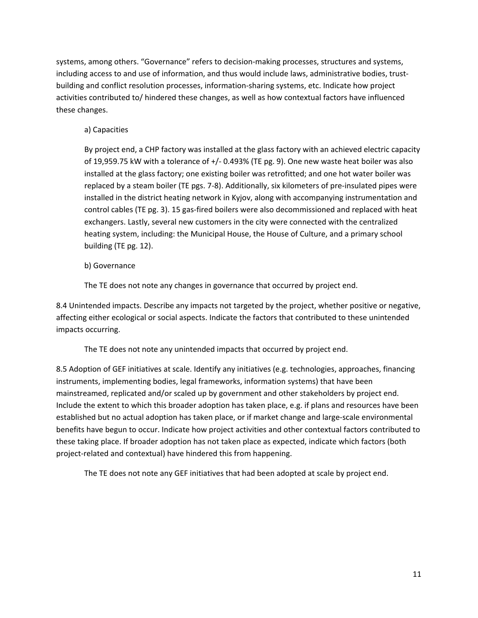systems, among others. "Governance" refers to decision-making processes, structures and systems, including access to and use of information, and thus would include laws, administrative bodies, trustbuilding and conflict resolution processes, information-sharing systems, etc. Indicate how project activities contributed to/ hindered these changes, as well as how contextual factors have influenced these changes.

### a) Capacities

By project end, a CHP factory was installed at the glass factory with an achieved electric capacity of 19,959.75 kW with a tolerance of +/- 0.493% (TE pg. 9). One new waste heat boiler was also installed at the glass factory; one existing boiler was retrofitted; and one hot water boiler was replaced by a steam boiler (TE pgs. 7-8). Additionally, six kilometers of pre-insulated pipes were installed in the district heating network in Kyjov, along with accompanying instrumentation and control cables (TE pg. 3). 15 gas-fired boilers were also decommissioned and replaced with heat exchangers. Lastly, several new customers in the city were connected with the centralized heating system, including: the Municipal House, the House of Culture, and a primary school building (TE pg. 12).

### b) Governance

The TE does not note any changes in governance that occurred by project end.

8.4 Unintended impacts. Describe any impacts not targeted by the project, whether positive or negative, affecting either ecological or social aspects. Indicate the factors that contributed to these unintended impacts occurring.

The TE does not note any unintended impacts that occurred by project end.

8.5 Adoption of GEF initiatives at scale. Identify any initiatives (e.g. technologies, approaches, financing instruments, implementing bodies, legal frameworks, information systems) that have been mainstreamed, replicated and/or scaled up by government and other stakeholders by project end. Include the extent to which this broader adoption has taken place, e.g. if plans and resources have been established but no actual adoption has taken place, or if market change and large-scale environmental benefits have begun to occur. Indicate how project activities and other contextual factors contributed to these taking place. If broader adoption has not taken place as expected, indicate which factors (both project-related and contextual) have hindered this from happening.

The TE does not note any GEF initiatives that had been adopted at scale by project end.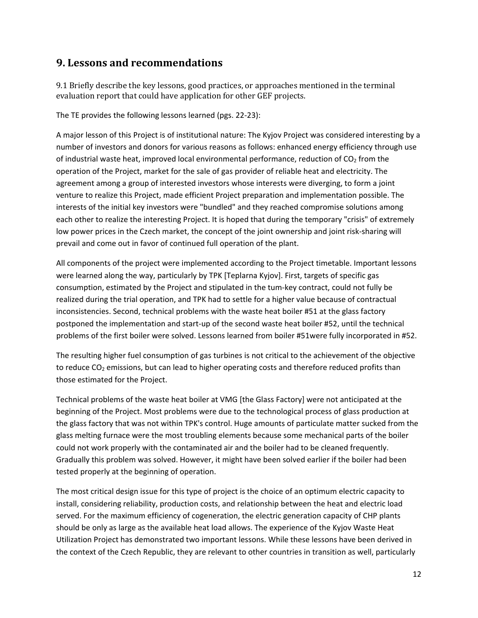## **9. Lessons and recommendations**

9.1 Briefly describe the key lessons, good practices, or approaches mentioned in the terminal evaluation report that could have application for other GEF projects.

The TE provides the following lessons learned (pgs. 22-23):

A major lesson of this Project is of institutional nature: The Kyjov Project was considered interesting by a number of investors and donors for various reasons as follows: enhanced energy efficiency through use of industrial waste heat, improved local environmental performance, reduction of  $CO<sub>2</sub>$  from the operation of the Project, market for the sale of gas provider of reliable heat and electricity. The agreement among a group of interested investors whose interests were diverging, to form a joint venture to realize this Project, made efficient Project preparation and implementation possible. The interests of the initial key investors were "bundled" and they reached compromise solutions among each other to realize the interesting Project. It is hoped that during the temporary "crisis" of extremely low power prices in the Czech market, the concept of the joint ownership and joint risk-sharing will prevail and come out in favor of continued full operation of the plant.

All components of the project were implemented according to the Project timetable. Important lessons were learned along the way, particularly by TPK [Teplarna Kyjov]. First, targets of specific gas consumption, estimated by the Project and stipulated in the tum-key contract, could not fully be realized during the trial operation, and TPK had to settle for a higher value because of contractual inconsistencies. Second, technical problems with the waste heat boiler #51 at the glass factory postponed the implementation and start-up of the second waste heat boiler #52, until the technical problems of the first boiler were solved. Lessons learned from boiler #51were fully incorporated in #52.

The resulting higher fuel consumption of gas turbines is not critical to the achievement of the objective to reduce CO<sub>2</sub> emissions, but can lead to higher operating costs and therefore reduced profits than those estimated for the Project.

Technical problems of the waste heat boiler at VMG [the Glass Factory] were not anticipated at the beginning of the Project. Most problems were due to the technological process of glass production at the glass factory that was not within TPK's control. Huge amounts of particulate matter sucked from the glass melting furnace were the most troubling elements because some mechanical parts of the boiler could not work properly with the contaminated air and the boiler had to be cleaned frequently. Gradually this problem was solved. However, it might have been solved earlier if the boiler had been tested properly at the beginning of operation.

The most critical design issue for this type of project is the choice of an optimum electric capacity to install, considering reliability, production costs, and relationship between the heat and electric load served. For the maximum efficiency of cogeneration, the electric generation capacity of CHP plants should be only as large as the available heat load allows. The experience of the Kyjov Waste Heat Utilization Project has demonstrated two important lessons. While these lessons have been derived in the context of the Czech Republic, they are relevant to other countries in transition as well, particularly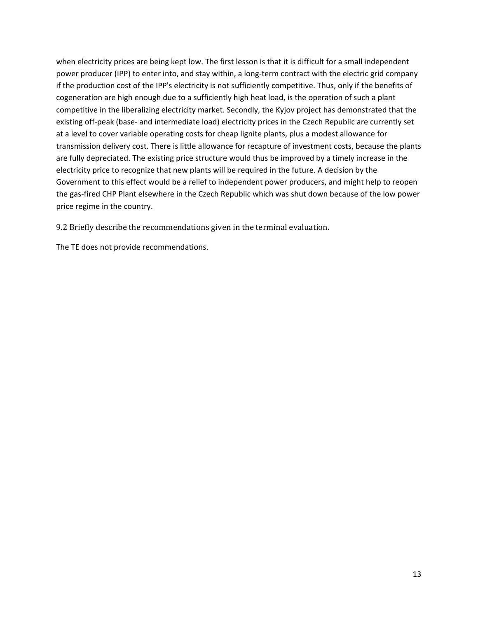when electricity prices are being kept low. The first lesson is that it is difficult for a small independent power producer (IPP) to enter into, and stay within, a long-term contract with the electric grid company if the production cost of the IPP's electricity is not sufficiently competitive. Thus, only if the benefits of cogeneration are high enough due to a sufficiently high heat load, is the operation of such a plant competitive in the liberalizing electricity market. Secondly, the Kyjov project has demonstrated that the existing off-peak (base- and intermediate load) electricity prices in the Czech Republic are currently set at a level to cover variable operating costs for cheap lignite plants, plus a modest allowance for transmission delivery cost. There is little allowance for recapture of investment costs, because the plants are fully depreciated. The existing price structure would thus be improved by a timely increase in the electricity price to recognize that new plants will be required in the future. A decision by the Government to this effect would be a relief to independent power producers, and might help to reopen the gas-fired CHP Plant elsewhere in the Czech Republic which was shut down because of the low power price regime in the country.

9.2 Briefly describe the recommendations given in the terminal evaluation.

The TE does not provide recommendations.